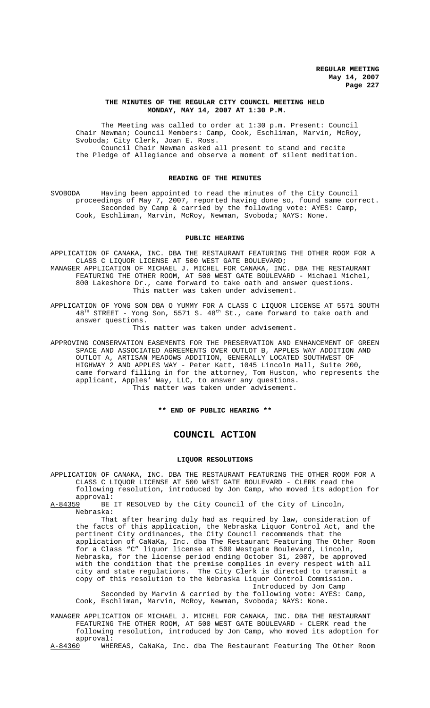## **THE MINUTES OF THE REGULAR CITY COUNCIL MEETING HELD MONDAY, MAY 14, 2007 AT 1:30 P.M.**

The Meeting was called to order at 1:30 p.m. Present: Council Chair Newman; Council Members: Camp, Cook, Eschliman, Marvin, McRoy, Svoboda; City Clerk, Joan E. Ross. Council Chair Newman asked all present to stand and recite the Pledge of Allegiance and observe a moment of silent meditation.

# **READING OF THE MINUTES**

SVOBODA Having been appointed to read the minutes of the City Council proceedings of May 7, 2007, reported having done so, found same correct. Seconded by Camp & carried by the following vote: AYES: Camp, Cook, Eschliman, Marvin, McRoy, Newman, Svoboda; NAYS: None.

## **PUBLIC HEARING**

APPLICATION OF CANAKA, INC. DBA THE RESTAURANT FEATURING THE OTHER ROOM FOR A CLASS C LIQUOR LICENSE AT 500 WEST GATE BOULEVARD; MANAGER APPLICATION OF MICHAEL J. MICHEL FOR CANAKA, INC. DBA THE RESTAURANT FEATURING THE OTHER ROOM, AT 500 WEST GATE BOULEVARD - Michael Michel, 800 Lakeshore Dr., came forward to take oath and answer questions. This matter was taken under advisement.

APPLICATION OF YONG SON DBA O YUMMY FOR A CLASS C LIQUOR LICENSE AT 5571 SOUTH  $48<sup>TH</sup>$  STREET - Yong Son, 5571 S.  $48<sup>th</sup>$  St., came forward to take oath and answer questions.

This matter was taken under advisement.

APPROVING CONSERVATION EASEMENTS FOR THE PRESERVATION AND ENHANCEMENT OF GREEN SPACE AND ASSOCIATED AGREEMENTS OVER OUTLOT B, APPLES WAY ADDITION AND OUTLOT A, ARTISAN MEADOWS ADDITION, GENERALLY LOCATED SOUTHWEST OF HIGHWAY 2 AND APPLES WAY - Peter Katt, 1045 Lincoln Mall, Suite 200, came forward filling in for the attorney, Tom Huston, who represents the applicant, Apples' Way, LLC, to answer any questions. This matter was taken under advisement.

**\*\* END OF PUBLIC HEARING \*\***

# **COUNCIL ACTION**

## **LIQUOR RESOLUTIONS**

APPLICATION OF CANAKA, INC. DBA THE RESTAURANT FEATURING THE OTHER ROOM FOR A CLASS C LIQUOR LICENSE AT 500 WEST GATE BOULEVARD - CLERK read the following resolution, introduced by Jon Camp, who moved its adoption for approval:<br>A-84359 BE

BE IT RESOLVED by the City Council of the City of Lincoln, Nebraska:

That after hearing duly had as required by law, consideration of the facts of this application, the Nebraska Liquor Control Act, and the pertinent City ordinances, the City Council recommends that the application of CaNaKa, Inc. dba The Restaurant Featuring The Other Room for a Class "C" liquor license at 500 Westgate Boulevard, Lincoln, Nebraska, for the license period ending October 31, 2007, be approved with the condition that the premise complies in every respect with all city and state regulations. The City Clerk is directed to transmit a copy of this resolution to the Nebraska Liquor Control Commission. Introduced by Jon Camp

Seconded by Marvin & carried by the following vote: AYES: Camp, Cook, Eschliman, Marvin, McRoy, Newman, Svoboda; NAYS: None.

MANAGER APPLICATION OF MICHAEL J. MICHEL FOR CANAKA, INC. DBA THE RESTAURANT FEATURING THE OTHER ROOM, AT 500 WEST GATE BOULEVARD - CLERK read the following resolution, introduced by Jon Camp, who moved its adoption for approval:<br><u>A-84360</u> WHE

WHEREAS, CaNaKa, Inc. dba The Restaurant Featuring The Other Room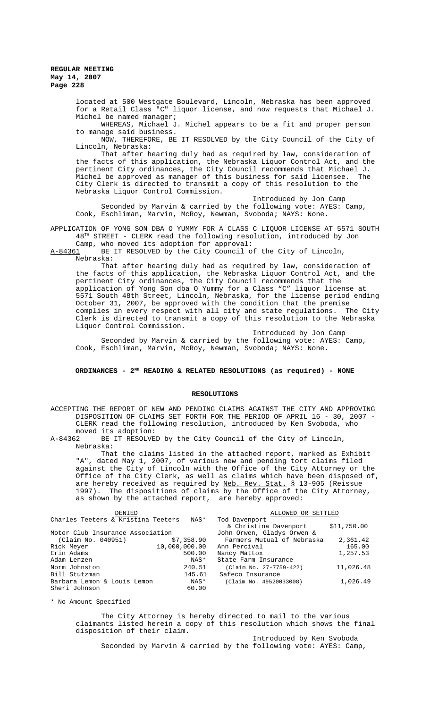> located at 500 Westgate Boulevard, Lincoln, Nebraska has been approved for a Retail Class "C" liquor license, and now requests that Michael J. Michel be named manager;

> WHEREAS, Michael J. Michel appears to be a fit and proper person to manage said business.

NOW, THEREFORE, BE IT RESOLVED by the City Council of the City of Lincoln, Nebraska:

That after hearing duly had as required by law, consideration of the facts of this application, the Nebraska Liquor Control Act, and the pertinent City ordinances, the City Council recommends that Michael J. Michel be approved as manager of this business for said licensee. The City Clerk is directed to transmit a copy of this resolution to the Nebraska Liquor Control Commission.

Introduced by Jon Camp

Seconded by Marvin & carried by the following vote: AYES: Camp, Cook, Eschliman, Marvin, McRoy, Newman, Svoboda; NAYS: None.

APPLICATION OF YONG SON DBA O YUMMY FOR A CLASS C LIQUOR LICENSE AT 5571 SOUTH 48TH STREET - CLERK read the following resolution, introduced by Jon Camp, who moved its adoption for approval:

A-84361 BE IT RESOLVED by the City Council of the City of Lincoln, Nebraska:

That after hearing duly had as required by law, consideration of the facts of this application, the Nebraska Liquor Control Act, and the pertinent City ordinances, the City Council recommends that the application of Yong Son dba O Yummy for a Class "C" liquor license at 5571 South 48th Street, Lincoln, Nebraska, for the license period ending October 31, 2007, be approved with the condition that the premise complies in every respect with all city and state regulations. The City Clerk is directed to transmit a copy of this resolution to the Nebraska Liquor Control Commission.

Introduced by Jon Camp Seconded by Marvin & carried by the following vote: AYES: Camp, Cook, Eschliman, Marvin, McRoy, Newman, Svoboda; NAYS: None.

## ORDINANCES - 2<sup>ND</sup> READING & RELATED RESOLUTIONS (as required) - NONE

## **RESOLUTIONS**

ACCEPTING THE REPORT OF NEW AND PENDING CLAIMS AGAINST THE CITY AND APPROVING DISPOSITION OF CLAIMS SET FORTH FOR THE PERIOD OF APRIL 16 - 30, 2007 - CLERK read the following resolution, introduced by Ken Svoboda, who

moved its adoption:<br>A-84362 BE IT RESOLVE BE IT RESOLVED by the City Council of the City of Lincoln, Nebraska:

That the claims listed in the attached report, marked as Exhibit "A", dated May 1, 2007, of various new and pending tort claims filed against the City of Lincoln with the Office of the City Attorney or the Office of the City Clerk, as well as claims which have been disposed of, are hereby received as required by Neb. Rev. Stat. § 13-905 (Reissue 1997). The dispositions of claims by the Office of the City Attorney, as shown by the attached report, are hereby approved:

| Charles Teeters & Kristina Teeters NAS*<br>Tod Davenport<br>& Christina Davenport<br>Motor Club Insurance Association<br>John Orwen, Gladys Orwen &<br>Farmers Mutual of Nebraska<br>(Claim No. 040951)<br>\$7,358.90<br>10,000,000.00<br>Rick Meyer<br>Ann Percival | DENIED |  | ALLOWED OR SETTLED |             |
|----------------------------------------------------------------------------------------------------------------------------------------------------------------------------------------------------------------------------------------------------------------------|--------|--|--------------------|-------------|
|                                                                                                                                                                                                                                                                      |        |  |                    |             |
|                                                                                                                                                                                                                                                                      |        |  |                    | \$11,750.00 |
|                                                                                                                                                                                                                                                                      |        |  |                    |             |
|                                                                                                                                                                                                                                                                      |        |  |                    | 2,361.42    |
|                                                                                                                                                                                                                                                                      |        |  |                    | 165.00      |
| Erin Adams<br>500.00<br>Nancy Mattox                                                                                                                                                                                                                                 |        |  |                    | 1,257.53    |
| NAS*<br>Adam Lenzen<br>State Farm Insurance                                                                                                                                                                                                                          |        |  |                    |             |
| 240.51<br>Norm Johnston<br>(Claim No. 27-7759-422)                                                                                                                                                                                                                   |        |  |                    | 11,026.48   |
| Bill Stutzman<br>145.61<br>Safeco Insurance                                                                                                                                                                                                                          |        |  |                    |             |
| Barbara Lemon & Louis Lemon<br>NAS*<br>(Claim No. 49520033008)                                                                                                                                                                                                       |        |  |                    | 1,026.49    |
| Sheri Johnson<br>60.00                                                                                                                                                                                                                                               |        |  |                    |             |

\* No Amount Specified

The City Attorney is hereby directed to mail to the various claimants listed herein a copy of this resolution which shows the final disposition of their claim.

Introduced by Ken Svoboda Seconded by Marvin & carried by the following vote: AYES: Camp,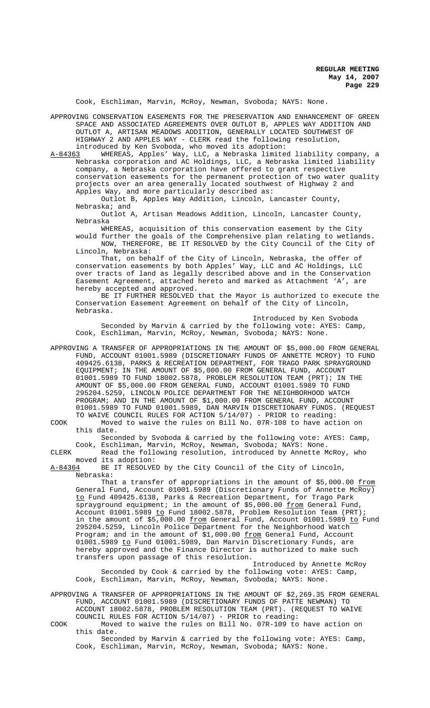Cook, Eschliman, Marvin, McRoy, Newman, Svoboda; NAYS: None.

APPROVING CONSERVATION EASEMENTS FOR THE PRESERVATION AND ENHANCEMENT OF GREEN SPACE AND ASSOCIATED AGREEMENTS OVER OUTLOT B, APPLES WAY ADDITION AND OUTLOT A, ARTISAN MEADOWS ADDITION, GENERALLY LOCATED SOUTHWEST OF HIGHWAY 2 AND APPLES WAY - CLERK read the following resolution,

introduced by Ken Svoboda, who moved its adoption:<br>A-84363 WHEREAS, Apples' Way, LLC, a Nebraska limite A-84363 WHEREAS, Apples' Way, LLC, a Nebraska limited liability company, a Nebraska corporation and AC Holdings, LLC, a Nebraska limited liability company, a Nebraska corporation have offered to grant respective conservation easements for the permanent protection of two water quality projects over an area generally located southwest of Highway 2 and Apples Way, and more particularly described as:

Outlot B, Apples Way Addition, Lincoln, Lancaster County, Nebraska; and

Outlot A, Artisan Meadows Addition, Lincoln, Lancaster County, Nebraska

WHEREAS, acquisition of this conservation easement by the City would further the goals of the Comprehensive plan relating to wetlands. NOW, THEREFORE, BE IT RESOLVED by the City Council of the City of Lincoln, Nebraska:

That, on behalf of the City of Lincoln, Nebraska, the offer of conservation easements by both Apples' Way, LLC and AC Holdings, LLC over tracts of land as legally described above and in the Conservation Easement Agreement, attached hereto and marked as Attachment 'A', are hereby accepted and approved.

BE IT FURTHER RESOLVED that the Mayor is authorized to execute the Conservation Easement Agreement on behalf of the City of Lincoln, Nebraska.

Introduced by Ken Svoboda Seconded by Marvin & carried by the following vote: AYES: Camp, Cook, Eschliman, Marvin, McRoy, Newman, Svoboda; NAYS: None.

APPROVING A TRANSFER OF APPROPRIATIONS IN THE AMOUNT OF \$5,000.00 FROM GENERAL FUND, ACCOUNT 01001.5989 (DISCRETIONARY FUNDS OF ANNETTE MCROY) TO FUND 409425.6138, PARKS & RECREATION DEPARTMENT, FOR TRAGO PARK SPRAYGROUND EQUIPMENT; IN THE AMOUNT OF \$5,000.00 FROM GENERAL FUND, ACCOUNT 01001.5989 TO FUND 18002.5878, PROBLEM RESOLUTION TEAM (PRT); IN THE AMOUNT OF \$5,000.00 FROM GENERAL FUND, ACCOUNT 01001.5989 TO FUND 295204.5259, LINCOLN POLICE DEPARTMENT FOR THE NEIGHBORHOOD WATCH PROGRAM; AND IN THE AMOUNT OF \$1,000.00 FROM GENERAL FUND, ACCOUNT 01001.5989 TO FUND 01001.5989, DAN MARVIN DISCRETIONARY FUNDS. (REQUEST TO WAIVE COUNCIL RULES FOR ACTION 5/14/07) - PRIOR to reading:

COOK Moved to waive the rules on Bill No. 07R-108 to have action on this date.

Seconded by Svoboda & carried by the following vote: AYES: Camp, Cook, Eschliman, Marvin, McRoy, Newman, Svoboda; NAYS: None.

CLERK Read the following resolution, introduced by Annette McRoy, who moved its adoption:<br>A-84364 BE IT RESOLVE

BE IT RESOLVED by the City Council of the City of Lincoln, Nebraska:

That a transfer of appropriations in the amount of \$5,000.00 <u>from</u> General Fund, Account 01001.5989 (Discretionary Funds of Annette McRoy) to Fund 409425.6138, Parks & Recreation Department, for Trago Park sprayground equipment; in the amount of \$5,000.00 from General Fund, Account 01001.5989 to Fund 18002.5878, Problem Resolution Team (PRT); in the amount of  $$5,000.00$  from General Fund, Account  $01001.5989$  to Fund 295204.5259, Lincoln Police Department for the Neighborhood Watch Program; and in the amount of \$1,000.00 <u>from</u> General Fund, Account 01001.5989 to Fund 01001.5989, Dan Marvin Discretionary Funds, are hereby approved and the Finance Director is authorized to make such transfers upon passage of this resolution.

Introduced by Annette McRoy Seconded by Cook & carried by the following vote: AYES: Camp, Cook, Eschliman, Marvin, McRoy, Newman, Svoboda; NAYS: None.

APPROVING A TRANSFER OF APPROPRIATIONS IN THE AMOUNT OF \$2,269.35 FROM GENERAL FUND, ACCOUNT 01001.5989 (DISCRETIONARY FUNDS OF PATTE NEWMAN) TO ACCOUNT 18002.5878, PROBLEM RESOLUTION TEAM (PRT). (REQUEST TO WAIVE COUNCIL RULES FOR ACTION 5/14/07) - PRIOR to reading:

COOK Moved to waive the rules on Bill No. 07R-109 to have action on this date.

Seconded by Marvin & carried by the following vote: AYES: Camp, Cook, Eschliman, Marvin, McRoy, Newman, Svoboda; NAYS: None.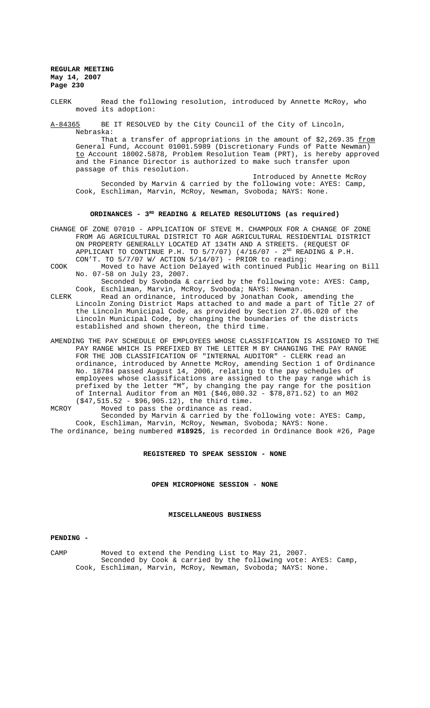CLERK Read the following resolution, introduced by Annette McRoy, who moved its adoption:

A-84365 BE IT RESOLVED by the City Council of the City of Lincoln, Nebraska:

That a transfer of appropriations in the amount of  $$2,269.35$  from General Fund, Account 01001.5989 (Discretionary Funds of Patte Newman) <u>to</u> Account 18002.5878, Problem Resolution Team (PRT), is hereby approved and the Finance Director is authorized to make such transfer upon passage of this resolution.

Introduced by Annette McRoy Seconded by Marvin & carried by the following vote: AYES: Camp, Cook, Eschliman, Marvin, McRoy, Newman, Svoboda; NAYS: None.

## ORDINANCES - 3<sup>RD</sup> READING & RELATED RESOLUTIONS (as required)

- CHANGE OF ZONE 07010 APPLICATION OF STEVE M. CHAMPOUX FOR A CHANGE OF ZONE FROM AG AGRICULTURAL DISTRICT TO AGR AGRICULTURAL RESIDENTIAL DISTRICT ON PROPERTY GENERALLY LOCATED AT 134TH AND A STREETS. (REQUEST OF APPLICANT TO CONTINUE P.H. TO  $5/7/07$ ) (4/16/07 -  $2^{ND}$  READING & P.H. CON'T. TO 5/7/07 W/ ACTION 5/14/07) - PRIOR to reading:
- COOK Moved to have Action Delayed with continued Public Hearing on Bill No. 07-58 on July 23, 2007.

Seconded by Svoboda & carried by the following vote: AYES: Camp, Cook, Eschliman, Marvin, McRoy, Svoboda; NAYS: Newman.

- CLERK Read an ordinance, introduced by Jonathan Cook, amending the Lincoln Zoning District Maps attached to and made a part of Title 27 of the Lincoln Municipal Code, as provided by Section 27.05.020 of the Lincoln Municipal Code, by changing the boundaries of the districts established and shown thereon, the third time.
- AMENDING THE PAY SCHEDULE OF EMPLOYEES WHOSE CLASSIFICATION IS ASSIGNED TO THE PAY RANGE WHICH IS PREFIXED BY THE LETTER M BY CHANGING THE PAY RANGE FOR THE JOB CLASSIFICATION OF "INTERNAL AUDITOR" - CLERK read an ordinance, introduced by Annette McRoy, amending Section 1 of Ordinance No. 18784 passed August 14, 2006, relating to the pay schedules of employees whose classifications are assigned to the pay range which is prefixed by the letter "M", by changing the pay range for the position of Internal Auditor from an M01 (\$46,080.32 - \$78,871.52) to an M02 (\$47,515.52 - \$96,905.12), the third time.
- MCROY Moved to pass the ordinance as read. Seconded by Marvin & carried by the following vote: AYES: Camp, Cook, Eschliman, Marvin, McRoy, Newman, Svoboda; NAYS: None.

The ordinance, being numbered **#18925**, is recorded in Ordinance Book #26, Page

## **REGISTERED TO SPEAK SESSION - NONE**

**OPEN MICROPHONE SESSION - NONE**

## **MISCELLANEOUS BUSINESS**

## **PENDING -**

CAMP Moved to extend the Pending List to May 21, 2007. Seconded by Cook & carried by the following vote: AYES: Camp, Cook, Eschliman, Marvin, McRoy, Newman, Svoboda; NAYS: None.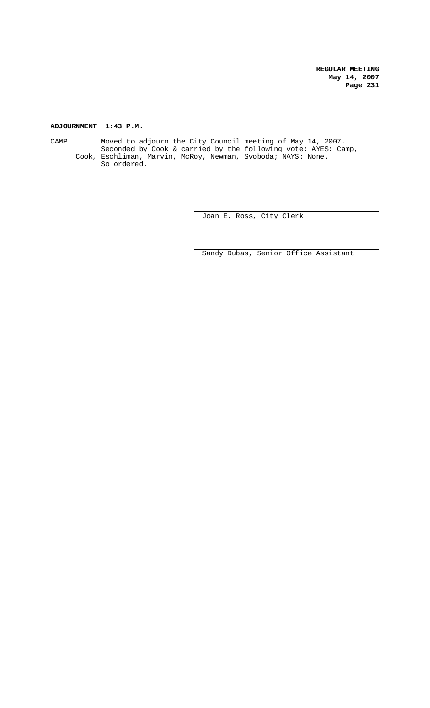# **ADJOURNMENT 1:43 P.M.**

CAMP Moved to adjourn the City Council meeting of May 14, 2007. Seconded by Cook & carried by the following vote: AYES: Camp, Cook, Eschliman, Marvin, McRoy, Newman, Svoboda; NAYS: None. So ordered.

Joan E. Ross, City Clerk

Sandy Dubas, Senior Office Assistant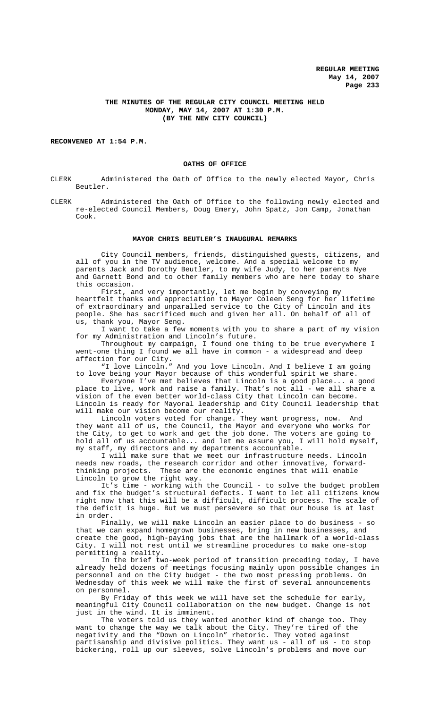# **THE MINUTES OF THE REGULAR CITY COUNCIL MEETING HELD MONDAY, MAY 14, 2007 AT 1:30 P.M. (BY THE NEW CITY COUNCIL)**

### **RECONVENED AT 1:54 P.M.**

### **OATHS OF OFFICE**

CLERK Administered the Oath of Office to the newly elected Mayor, Chris Beutler.

CLERK Administered the Oath of Office to the following newly elected and re-elected Council Members, Doug Emery, John Spatz, Jon Camp, Jonathan Cook.

#### **MAYOR CHRIS BEUTLER'S INAUGURAL REMARKS**

City Council members, friends, distinguished guests, citizens, and all of you in the TV audience, welcome. And a special welcome to my parents Jack and Dorothy Beutler, to my wife Judy, to her parents Nye and Garnett Bond and to other family members who are here today to share this occasion.

First, and very importantly, let me begin by conveying my heartfelt thanks and appreciation to Mayor Coleen Seng for her lifetime of extraordinary and unparalled service to the City of Lincoln and its people. She has sacrificed much and given her all. On behalf of all of us, thank you, Mayor Seng.

I want to take a few moments with you to share a part of my vision for my Administration and Lincoln's future.

Throughout my campaign, I found one thing to be true everywhere I went-one thing I found we all have in common - a widespread and deep affection for our City.

"I love Lincoln." And you love Lincoln. And I believe I am going to love being your Mayor because of this wonderful spirit we share.

Everyone I've met believes that Lincoln is a good place... a good place to live, work and raise a family. That's not all - we all share a .<br>vision of the even better world-class City that Lincoln can become. Lincoln is ready for Mayoral leadership and City Council leadership that will make our vision become our reality.

Lincoln voters voted for change. They want progress, now. And they want all of us, the Council, the Mayor and everyone who works for the City, to get to work and get the job done. The voters are going to hold all of us accountable... and let me assure you, I will hold myself, my staff, my directors and my departments accountable.

I will make sure that we meet our infrastructure needs. Lincoln needs new roads, the research corridor and other innovative, forwardthinking projects. These are the economic engines that will enable Lincoln to grow the right way.

It's time - working with the Council - to solve the budget problem and fix the budget's structural defects. I want to let all citizens know right now that this will be a difficult, difficult process. The scale of the deficit is huge. But we must persevere so that our house is at last in order.

Finally, we will make Lincoln an easier place to do business - so that we can expand homegrown businesses, bring in new businesses, and create the good, high-paying jobs that are the hallmark of a world-class City. I will not rest until we streamline procedures to make one-stop permitting a reality.

In the brief two-week period of transition preceding today, I have already held dozens of meetings focusing mainly upon possible changes in personnel and on the City budget - the two most pressing problems. On Wednesday of this week we will make the first of several announcements on personnel.

By Friday of this week we will have set the schedule for early, meaningful City Council collaboration on the new budget. Change is not just in the wind. It is imminent.

The voters told us they wanted another kind of change too. They want to change the way we talk about the City. They're tired of the negativity and the "Down on Lincoln" rhetoric. They voted against partisanship and divisive politics. They want us - all of us - to stop bickering, roll up our sleeves, solve Lincoln's problems and move our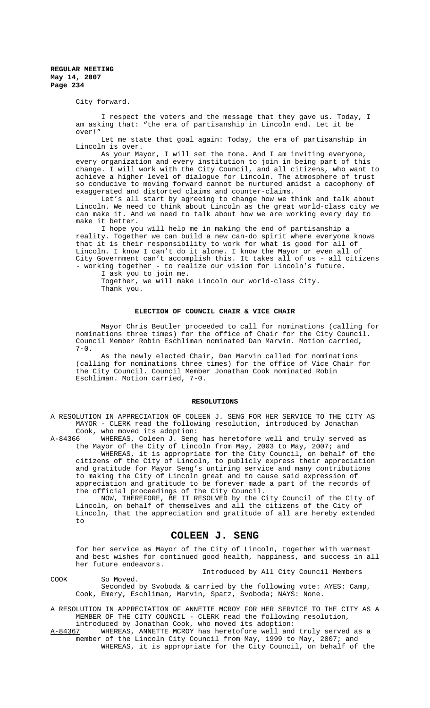City forward.

COOK So Moved.

I respect the voters and the message that they gave us. Today, I am asking that: "the era of partisanship in Lincoln end. Let it be over!"

Let me state that goal again: Today, the era of partisanship in Lincoln is over.

As your Mayor, I will set the tone. And I am inviting everyone, every organization and every institution to join in being part of this change. I will work with the City Council, and all citizens, who want to achieve a higher level of dialogue for Lincoln. The atmosphere of trust so conducive to moving forward cannot be nurtured amidst a cacophony of exaggerated and distorted claims and counter-claims.

Let's all start by agreeing to change how we think and talk about Lincoln. We need to think about Lincoln as the great world-class city we can make it. And we need to talk about how we are working every day to make it better.

I hope you will help me in making the end of partisanship a reality. Together we can build a new can-do spirit where everyone knows that it is their responsibility to work for what is good for all of Lincoln. I know I can't do it alone. I know the Mayor or even all of City Government can't accomplish this. It takes all of us - all citizens - working together - to realize our vision for Lincoln's future.

I ask you to join me.

Together, we will make Lincoln our world-class City. Thank you.

## **ELECTION OF COUNCIL CHAIR & VICE CHAIR**

Mayor Chris Beutler proceeded to call for nominations (calling for nominations three times) for the office of Chair for the City Council. Council Member Robin Eschliman nominated Dan Marvin. Motion carried,  $7-0$ .

As the newly elected Chair, Dan Marvin called for nominations (calling for nominations three times) for the office of Vice Chair for the City Council. Council Member Jonathan Cook nominated Robin Eschliman. Motion carried, 7-0.

### **RESOLUTIONS**

A RESOLUTION IN APPRECIATION OF COLEEN J. SENG FOR HER SERVICE TO THE CITY AS MAYOR - CLERK read the following resolution, introduced by Jonathan

Cook, who moved its adoption:<br>A-84366 WHEREAS, Coleen J. Seng A-84366 WHEREAS, Coleen J. Seng has heretofore well and truly served as the Mayor of the City of Lincoln from May, 2003 to May, 2007; and

WHEREAS, it is appropriate for the City Council, on behalf of the citizens of the City of Lincoln, to publicly express their appreciation and gratitude for Mayor Seng's untiring service and many contributions to making the City of Lincoln great and to cause said expression of appreciation and gratitude to be forever made a part of the records of the official proceedings of the City Council.

NOW, THEREFORE, BE IT RESOLVED by the City Council of the City of Lincoln, on behalf of themselves and all the citizens of the City of Lincoln, that the appreciation and gratitude of all are hereby extended to

# **COLEEN J. SENG**

for her service as Mayor of the City of Lincoln, together with warmest and best wishes for continued good health, happiness, and success in all her future endeavors.

Introduced by All City Council Members

Seconded by Svoboda & carried by the following vote: AYES: Camp, Cook, Emery, Eschliman, Marvin, Spatz, Svoboda; NAYS: None.

A RESOLUTION IN APPRECIATION OF ANNETTE MCROY FOR HER SERVICE TO THE CITY AS A MEMBER OF THE CITY COUNCIL - CLERK read the following resolution, introduced by Jonathan Cook, who moved its adoption:

A-84367 WHEREAS, ANNETTE MCROY has heretofore well and truly served as a member of the Lincoln City Council from May, 1999 to May, 2007; and WHEREAS, it is appropriate for the City Council, on behalf of the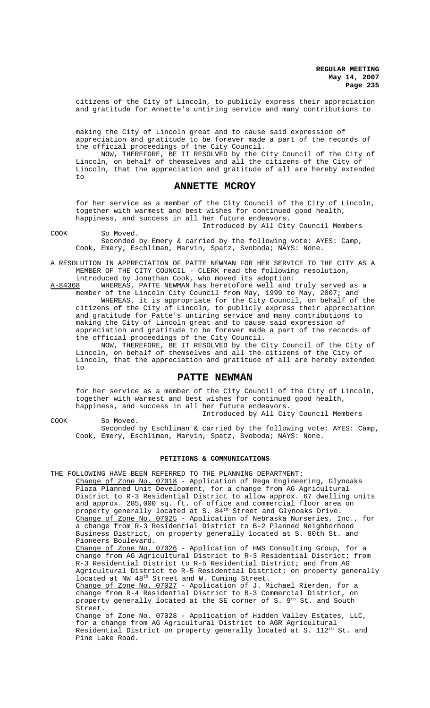citizens of the City of Lincoln, to publicly express their appreciation and gratitude for Annette's untiring service and many contributions to

making the City of Lincoln great and to cause said expression of appreciation and gratitude to be forever made a part of the records of the official proceedings of the City Council.

NOW, THEREFORE, BE IT RESOLVED by the City Council of the City of Lincoln, on behalf of themselves and all the citizens of the City of Lincoln, that the appreciation and gratitude of all are hereby extended to

# **ANNETTE MCROY**

for her service as a member of the City Council of the City of Lincoln, together with warmest and best wishes for continued good health, happiness, and success in all her future endeavors.

Introduced by All City Council Members

COOK So Moved.

Seconded by Emery & carried by the following vote: AYES: Camp, Cook, Emery, Eschliman, Marvin, Spatz, Svoboda; NAYS: None.

A RESOLUTION IN APPRECIATION OF PATTE NEWMAN FOR HER SERVICE TO THE CITY AS A MEMBER OF THE CITY COUNCIL - CLERK read the following resolution, introduced by Jonathan Cook, who moved its adoption:

A-84368 WHEREAS, PATTE NEWMAN has heretofore well and truly served as a member of the Lincoln City Council from May, 1999 to May, 2007; and WHEREAS, it is appropriate for the City Council, on behalf of the citizens of the City of Lincoln, to publicly express their appreciation and gratitude for Patte's untiring service and many contributions to making the City of Lincoln great and to cause said expression of appreciation and gratitude to be forever made a part of the records of the official proceedings of the City Council.

NOW, THEREFORE, BE IT RESOLVED by the City Council of the City of Lincoln, on behalf of themselves and all the citizens of the City of Lincoln, that the appreciation and gratitude of all are hereby extended to

# **PATTE NEWMAN**

for her service as a member of the City Council of the City of Lincoln, together with warmest and best wishes for continued good health, happiness, and success in all her future endeavors.

Introduced by All City Council Members COOK So Moved. Seconded by Eschliman & carried by the following vote: AYES: Camp, Cook, Emery, Eschliman, Marvin, Spatz, Svoboda; NAYS: None.

### **PETITIONS & COMMUNICATIONS**

THE FOLLOWING HAVE BEEN REFERRED TO THE PLANNING DEPARTMENT:

Change of Zone No. 07018 - Application of Rega Engineering, Glynoaks Plaza Planned Unit Development, for a change from AG Agricultural District to R-3 Residential District to allow approx. 67 dwelling units and approx. 285,000 sq. ft. of office and commercial floor area on property generally located at S. 84<sup>th</sup> Street and Glynoaks Drive. Change of Zone No. 07025 - Application of Nebraska Nurseries, Inc., for a change from R-3 Residential District to B-2 Planned Neighborhood Business District, on property generally located at S. 80th St. and Pioneers Boulevard. Change of Zone No. 07026 - Application of HWS Consulting Group, for a change from AG Agricultural District to R-3 Residential District; from R-3 Residential District to R-5 Residential District; and from AG

Agricultural District to R-5 Residential District; on property generally located at NW 48<sup>th</sup> Street and W. Cuming Street. Change of Zone No. 07027 - Application of J. Michael Rierden, for a change from R-4 Residential District to B-3 Commercial District, on property generally located at the SE corner of S. 9<sup>th</sup> St. and South Street.

Change of Zone No. 07028 - Application of Hidden Valley Estates, LLC, for a change from AG Agricultural District to AGR Agricultural Residential District on property generally located at S. 112<sup>th</sup> St. and Pine Lake Road.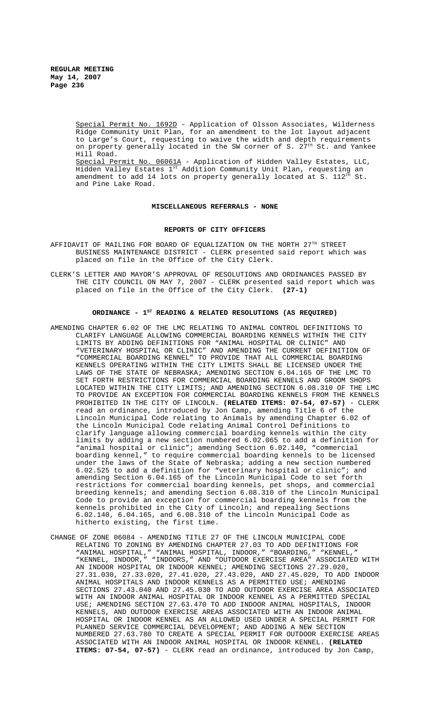> Special Permit No. 1692D - Application of Olsson Associates, Wilderness Ridge Community Unit Plan, for an amendment to the lot layout adjacent to Large's Court, requesting to waive the width and depth requirements on property generally located in the SW corner of S.  $27<sup>th</sup>$  St. and Yankee Hill Road. Special Permit No. 06061A - Application of Hidden Valley Estates, LLC, Hidden Valley Estates 1<sup>st</sup> Addition Community Unit Plan, requesting an amendment to add 14 lots on property generally located at S. 112<sup>th</sup> St. and Pine Lake Road.

### **MISCELLANEOUS REFERRALS - NONE**

## **REPORTS OF CITY OFFICERS**

- AFFIDAVIT OF MAILING FOR BOARD OF EQUALIZATION ON THE NORTH 27TH STREET BUSINESS MAINTENANCE DISTRICT - CLERK presented said report which was placed on file in the Office of the City Clerk.
- CLERK'S LETTER AND MAYOR'S APPROVAL OF RESOLUTIONS AND ORDINANCES PASSED BY THE CITY COUNCIL ON MAY 7, 2007 - CLERK presented said report which was placed on file in the Office of the City Clerk. **(27-1)**

# ORDINANCE -  $1^{ST}$  READING & RELATED RESOLUTIONS (AS REQUIRED)

- AMENDING CHAPTER 6.02 OF THE LMC RELATING TO ANIMAL CONTROL DEFINITIONS TO CLARIFY LANGUAGE ALLOWING COMMERCIAL BOARDING KENNELS WITHIN THE CITY LIMITS BY ADDING DEFINITIONS FOR "ANIMAL HOSPITAL OR CLINIC" AND "VETERINARY HOSPITAL OR CLINIC" AND AMENDING THE CURRENT DEFINITION OF "COMMERCIAL BOARDING KENNEL" TO PROVIDE THAT ALL COMMERCIAL BOARDING KENNELS OPERATING WITHIN THE CITY LIMITS SHALL BE LICENSED UNDER THE LAWS OF THE STATE OF NEBRASKA; AMENDING SECTION 6.04.165 OF THE LMC TO SET FORTH RESTRICTIONS FOR COMMERCIAL BOARDING KENNELS AND GROOM SHOPS LOCATED WITHIN THE CITY LIMITS; AND AMENDING SECTION 6.08.310 OF THE LMC TO PROVIDE AN EXCEPTION FOR COMMERCIAL BOARDING KENNELS FROM THE KENNELS PROHIBITED IN THE CITY OF LINCOLN. **(RELATED ITEMS: 07-54, 07-57)** - CLERK read an ordinance, introduced by Jon Camp, amending Title 6 of the Lincoln Municipal Code relating to Animals by amending Chapter 6.02 of the Lincoln Municipal Code relating Animal Control Definitions to clarify language allowing commercial boarding kennels within the city limits by adding a new section numbered 6.02.065 to add a definition for "animal hospital or clinic"; amending Section 6.02.140, "commercial boarding kennel," to require commercial boarding kennels to be licensed under the laws of the State of Nebraska; adding a new section numbered 6.02.525 to add a definition for "veterinary hospital or clinic"; and amending Section 6.04.165 of the Lincoln Municipal Code to set forth restrictions for commercial boarding kennels, pet shops, and commercial breeding kennels; and amending Section 6.08.310 of the Lincoln Municipal Code to provide an exception for commercial boarding kennels from the kennels prohibited in the City of Lincoln; and repealing Sections 6.02.140, 6.04.165, and 6.08.310 of the Lincoln Municipal Code as hitherto existing, the first time.
- CHANGE OF ZONE 06084 AMENDING TITLE 27 OF THE LINCOLN MUNICIPAL CODE RELATING TO ZONING BY AMENDING CHAPTER 27.03 TO ADD DEFINITIONS FOR "ANIMAL HOSPITAL," "ANIMAL HOSPITAL, INDOOR," "BOARDING," "KENNEL," "KENNEL, INDOOR," "INDOORS," AND "OUTDOOR EXERCISE AREA" ASSOCIATED WITH AN INDOOR HOSPITAL OR INDOOR KENNEL; AMENDING SECTIONS 27.29.020, 27.31.030, 27.33.020, 27.41.020, 27.43.020, AND 27.45.020, TO ADD INDOOR ANIMAL HOSPITALS AND INDOOR KENNELS AS A PERMITTED USE; AMENDING SECTIONS 27.43.040 AND 27.45.030 TO ADD OUTDOOR EXERCISE AREA ASSOCIATED WITH AN INDOOR ANIMAL HOSPITAL OR INDOOR KENNEL AS A PERMITTED SPECIAL USE; AMENDING SECTION 27.63.470 TO ADD INDOOR ANIMAL HOSPITALS, INDOOR KENNELS, AND OUTDOOR EXERCISE AREAS ASSOCIATED WITH AN INDOOR ANIMAL HOSPITAL OR INDOOR KENNEL AS AN ALLOWED USED UNDER A SPECIAL PERMIT FOR PLANNED SERVICE COMMERCIAL DEVELOPMENT; AND ADDING A NEW SECTION NUMBERED 27.63.780 TO CREATE A SPECIAL PERMIT FOR OUTDOOR EXERCISE AREAS ASSOCIATED WITH AN INDOOR ANIMAL HOSPITAL OR INDOOR KENNEL. **(RELATED ITEMS: 07-54, 07-57)** - CLERK read an ordinance, introduced by Jon Camp,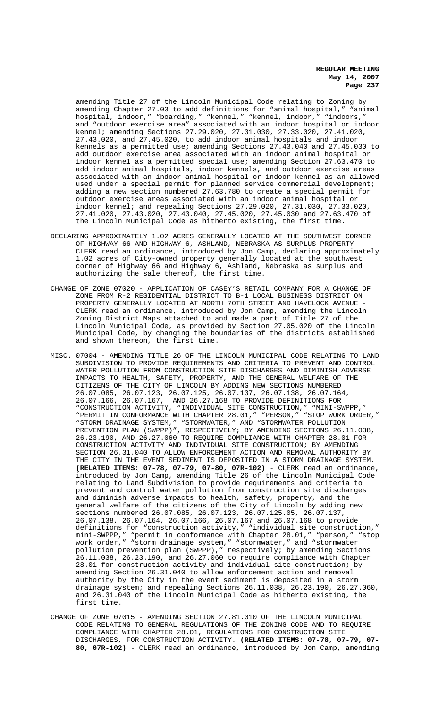amending Title 27 of the Lincoln Municipal Code relating to Zoning by amending Chapter 27.03 to add definitions for "animal hospital," "animal hospital, indoor," "boarding," "kennel," "kennel, indoor," "indoors," and "outdoor exercise area" associated with an indoor hospital or indoor kennel; amending Sections 27.29.020, 27.31.030, 27.33.020, 27.41.020, 27.43.020, and 27.45.020, to add indoor animal hospitals and indoor kennels as a permitted use; amending Sections 27.43.040 and 27.45.030 to add outdoor exercise area associated with an indoor animal hospital or indoor kennel as a permitted special use; amending Section 27.63.470 to add indoor animal hospitals, indoor kennels, and outdoor exercise areas associated with an indoor animal hospital or indoor kennel as an allowed used under a special permit for planned service commercial development; adding a new section numbered 27.63.780 to create a special permit for outdoor exercise areas associated with an indoor animal hospital or indoor kennel; and repealing Sections 27.29.020, 27.31.030, 27.33.020, 27.41.020, 27.43.020, 27.43.040, 27.45.020, 27.45.030 and 27.63.470 of the Lincoln Municipal Code as hitherto existing, the first time.

- DECLARING APPROXIMATELY 1.02 ACRES GENERALLY LOCATED AT THE SOUTHWEST CORNER OF HIGHWAY 66 AND HIGHWAY 6, ASHLAND, NEBRASKA AS SURPLUS PROPERTY - CLERK read an ordinance, introduced by Jon Camp, declaring approximately 1.02 acres of City-owned property generally located at the southwest corner of Highway 66 and Highway 6, Ashland, Nebraska as surplus and authorizing the sale thereof, the first time.
- CHANGE OF ZONE 07020 APPLICATION OF CASEY'S RETAIL COMPANY FOR A CHANGE OF ZONE FROM R-2 RESIDENTIAL DISTRICT TO B-1 LOCAL BUSINESS DISTRICT ON PROPERTY GENERALLY LOCATED AT NORTH 70TH STREET AND HAVELOCK AVENUE - CLERK read an ordinance, introduced by Jon Camp, amending the Lincoln Zoning District Maps attached to and made a part of Title 27 of the Lincoln Municipal Code, as provided by Section 27.05.020 of the Lincoln Municipal Code, by changing the boundaries of the districts established and shown thereon, the first time.
- MISC. 07004 AMENDING TITLE 26 OF THE LINCOLN MUNICIPAL CODE RELATING TO LAND SUBDIVISION TO PROVIDE REQUIREMENTS AND CRITERIA TO PREVENT AND CONTROL WATER POLLUTION FROM CONSTRUCTION SITE DISCHARGES AND DIMINISH ADVERSE IMPACTS TO HEALTH, SAFETY, PROPERTY, AND THE GENERAL WELFARE OF THE CITIZENS OF THE CITY OF LINCOLN BY ADDING NEW SECTIONS NUMBERED 26.07.085, 26.07.123, 26.07.125, 26.07.137, 26.07.138, 26.07.164, 26.07.166, 26.07.167, AND 26.27.168 TO PROVIDE DEFINITIONS FOR "CONSTRUCTION ACTIVITY, "INDIVIDUAL SITE CONSTRUCTION," "MINI-SWPPP," "PERMIT IN CONFORMANCE WITH CHAPTER 28.01," "PERSON," "STOP WORK ORDER," "STORM DRAINAGE SYSTEM," "STORMWATER," AND "STORMWATER POLLUTION PREVENTION PLAN (SWPPP)", RESPECTIVELY; BY AMENDING SECTIONS 26.11.038, 26.23.190, AND 26.27.060 TO REQUIRE COMPLIANCE WITH CHAPTER 28.01 FOR CONSTRUCTION ACTIVITY AND INDIVIDUAL SITE CONSTRUCTION; BY AMENDING SECTION 26.31.040 TO ALLOW ENFORCEMENT ACTION AND REMOVAL AUTHORITY BY THE CITY IN THE EVENT SEDIMENT IS DEPOSITED IN A STORM DRAINAGE SYSTEM. **(RELATED ITEMS: 07-78, 07-79, 07-80, 07R-102)** - CLERK read an ordinance, introduced by Jon Camp, amending Title 26 of the Lincoln Municipal Code relating to Land Subdivision to provide requirements and criteria to prevent and control water pollution from construction site discharges and diminish adverse impacts to health, safety, property, and the general welfare of the citizens of the City of Lincoln by adding new sections numbered 26.07.085, 26.07.123, 26.07.125.05, 26.07.137, 26.07.138, 26.07.164, 26.07.166, 26.07.167 and 26.07.168 to provide definitions for "construction activity," "individual site construction," mini-SWPPP," "permit in conformance with Chapter 28.01," "person," "stop work order," "storm drainage system," "stormwater," and "stormwater pollution prevention plan (SWPPP)," respectively; by amending Sections 26.11.038, 26.23.190, and 26.27.060 to require compliance with Chapter 28.01 for construction activity and individual site construction; by amending Section 26.31.040 to allow enforcement action and removal authority by the City in the event sediment is deposited in a storm drainage system; and repealing Sections 26.11.038, 26.23.190, 26.27.060, and 26.31.040 of the Lincoln Municipal Code as hitherto existing, the first time.
- CHANGE OF ZONE 07015 AMENDING SECTION 27.81.010 OF THE LINCOLN MUNICIPAL CODE RELATING TO GENERAL REGULATIONS OF THE ZONING CODE AND TO REQUIRE COMPLIANCE WITH CHAPTER 28.01, REGULATIONS FOR CONSTRUCTION SITE DISCHARGES, FOR CONSTRUCTION ACTIVITY. **(RELATED ITEMS: 07-78, 07-79, 07- 80, 07R-102)** - CLERK read an ordinance, introduced by Jon Camp, amending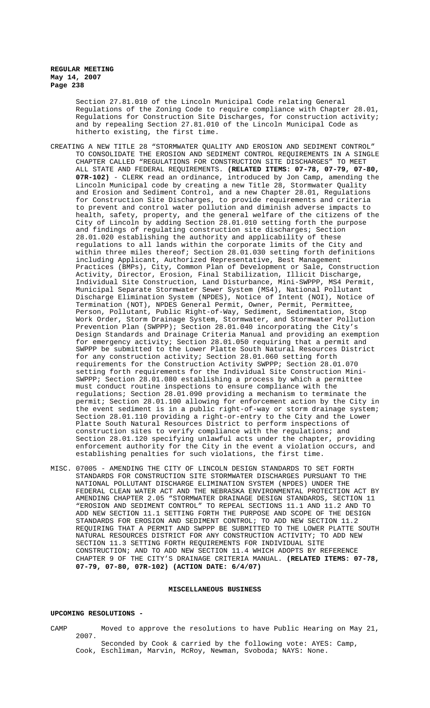Section 27.81.010 of the Lincoln Municipal Code relating General Regulations of the Zoning Code to require compliance with Chapter 28.01, Regulations for Construction Site Discharges, for construction activity; and by repealing Section 27.81.010 of the Lincoln Municipal Code as hitherto existing, the first time.

- CREATING A NEW TITLE 28 "STORMWATER QUALITY AND EROSION AND SEDIMENT CONTROL" TO CONSOLIDATE THE EROSION AND SEDIMENT CONTROL REQUIREMENTS IN A SINGLE CHAPTER CALLED "REGULATIONS FOR CONSTRUCTION SITE DISCHARGES" TO MEET ALL STATE AND FEDERAL REQUIREMENTS. **(RELATED ITEMS: 07-78, 07-79, 07-80, 07R-102)** - CLERK read an ordinance, introduced by Jon Camp, amending the Lincoln Municipal code by creating a new Title 28, Stormwater Quality and Erosion and Sediment Control, and a new Chapter 28.01, Regulations for Construction Site Discharges, to provide requirements and criteria to prevent and control water pollution and diminish adverse impacts to health, safety, property, and the general welfare of the citizens of the City of Lincoln by adding Section 28.01.010 setting forth the purpose and findings of regulating construction site discharges; Section 28.01.020 establishing the authority and applicability of these regulations to all lands within the corporate limits of the City and within three miles thereof; Section 28.01.030 setting forth definitions including Applicant, Authorized Representative, Best Management Practices (BMPs), City, Common Plan of Development or Sale, Construction Activity, Director, Erosion, Final Stabilization, Illicit Discharge, Individual Site Construction, Land Disturbance, Mini-SWPPP, MS4 Permit, Municipal Separate Stormwater Sewer System (MS4), National Pollutant Discharge Elimination System (NPDES), Notice of Intent (NOI), Notice of Termination (NOT), NPDES General Permit, Owner, Permit, Permittee, Person, Pollutant, Public Right-of-Way, Sediment, Sedimentation, Stop Work Order, Storm Drainage System, Stormwater, and Stormwater Pollution Prevention Plan (SWPPP); Section 28.01.040 incorporating the City's Design Standards and Drainage Criteria Manual and providing an exemption for emergency activity; Section 28.01.050 requiring that a permit and SWPPP be submitted to the Lower Platte South Natural Resources District for any construction activity; Section 28.01.060 setting forth requirements for the Construction Activity SWPPP; Section 28.01.070 setting forth requirements for the Individual Site Construction Mini-SWPPP; Section 28.01.080 establishing a process by which a permittee must conduct routine inspections to ensure compliance with the regulations; Section 28.01.090 providing a mechanism to terminate the permit; Section 28.01.100 allowing for enforcement action by the City in the event sediment is in a public right-of-way or storm drainage system; Section 28.01.110 providing a right-or-entry to the City and the Lower Platte South Natural Resources District to perform inspections of construction sites to verify compliance with the regulations; and Section 28.01.120 specifying unlawful acts under the chapter, providing enforcement authority for the City in the event a violation occurs, and establishing penalties for such violations, the first time.
- MISC. 07005 AMENDING THE CITY OF LINCOLN DESIGN STANDARDS TO SET FORTH STANDARDS FOR CONSTRUCTION SITE STORMWATER DISCHARGES PURSUANT TO THE NATIONAL POLLUTANT DISCHARGE ELIMINATION SYSTEM (NPDES) UNDER THE FEDERAL CLEAN WATER ACT AND THE NEBRASKA ENVIRONMENTAL PROTECTION ACT BY AMENDING CHAPTER 2.05 "STORMWATER DRAINAGE DESIGN STANDARDS, SECTION 11 "EROSION AND SEDIMENT CONTROL" TO REPEAL SECTIONS 11.1 AND 11.2 AND TO ADD NEW SECTION 11.1 SETTING FORTH THE PURPOSE AND SCOPE OF THE DESIGN STANDARDS FOR EROSION AND SEDIMENT CONTROL; TO ADD NEW SECTION 11.2 REQUIRING THAT A PERMIT AND SWPPP BE SUBMITTED TO THE LOWER PLATTE SOUTH NATURAL RESOURCES DISTRICT FOR ANY CONSTRUCTION ACTIVITY; TO ADD NEW SECTION 11.3 SETTING FORTH REQUIREMENTS FOR INDIVIDUAL SITE CONSTRUCTION; AND TO ADD NEW SECTION 11.4 WHICH ADOPTS BY REFERENCE CHAPTER 9 OF THE CITY'S DRAINAGE CRITERIA MANUAL. **(RELATED ITEMS: 07-78, 07-79, 07-80, 07R-102) (ACTION DATE: 6/4/07)**

## **MISCELLANEOUS BUSINESS**

### **UPCOMING RESOLUTIONS -**

CAMP Moved to approve the resolutions to have Public Hearing on May 21, 2007. Seconded by Cook & carried by the following vote: AYES: Camp, Cook, Eschliman, Marvin, McRoy, Newman, Svoboda; NAYS: None.